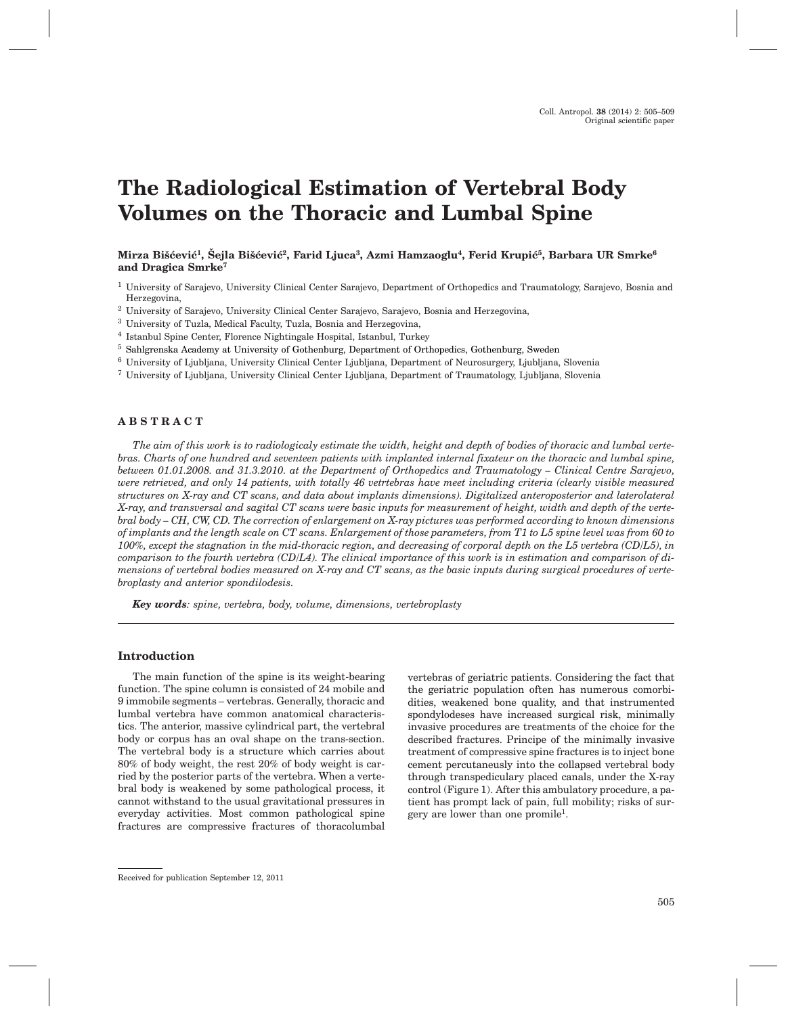# **The Radiological Estimation of Vertebral Body Volumes on the Thoracic and Lumbal Spine**

Mirza Bišćević<sup>1</sup>, Šejla Bišćević<sup>2</sup>, Farid Ljuca<sup>3</sup>, Azmi Hamzaoglu<sup>4</sup>, Ferid Krupić<sup>5</sup>, Barbara UR Smrke<sup>6</sup> **and Dragica Smrke7**

<sup>1</sup> University of Sarajevo, University Clinical Center Sarajevo, Department of Orthopedics and Traumatology, Sarajevo, Bosnia and Herzegovina,

- <sup>2</sup> University of Sarajevo, University Clinical Center Sarajevo, Sarajevo, Bosnia and Herzegovina,
- <sup>3</sup> University of Tuzla, Medical Faculty, Tuzla, Bosnia and Herzegovina,
- <sup>4</sup> Istanbul Spine Center, Florence Nightingale Hospital, Istanbul, Turkey
- <sup>5</sup> Sahlgrenska Academy at University of Gothenburg, Department of Orthopedics, Gothenburg, Sweden
- <sup>6</sup> University of Ljubljana, University Clinical Center Ljubljana, Department of Neurosurgery, Ljubljana, Slovenia
- <sup>7</sup> University of Ljubljana, University Clinical Center Ljubljana, Department of Traumatology, Ljubljana, Slovenia

#### **ABSTRACT**

*The aim of this work is to radiologicaly estimate the width, height and depth of bodies of thoracic and lumbal vertebras. Charts of one hundred and seventeen patients with implanted internal fixateur on the thoracic and lumbal spine, between 01.01.2008. and 31.3.2010. at the Department of Orthopedics and Traumatology – Clinical Centre Sarajevo, were retrieved, and only 14 patients, with totally 46 vetrtebras have meet including criteria (clearly visible measured structures on X-ray and CT scans, and data about implants dimensions). Digitalized anteroposterior and laterolateral X-ray, and transversal and sagital CT scans were basic inputs for measurement of height, width and depth of the vertebral body – CH, CW, CD. The correction of enlargement on X-ray pictures was performed according to known dimensions of implants and the length scale on CT scans. Enlargement of those parameters, from T1 to L5 spine level was from 60 to 100%, except the stagnation in the mid-thoracic region, and decreasing of corporal depth on the L5 vertebra (CD/L5), in comparison to the fourth vertebra (CD/L4). The clinical importance of this work is in estimation and comparison of dimensions of vertebral bodies measured on X-ray and CT scans, as the basic inputs during surgical procedures of vertebroplasty and anterior spondilodesis.*

*Key words: spine, vertebra, body, volume, dimensions, vertebroplasty*

## **Introduction**

The main function of the spine is its weight-bearing function. The spine column is consisted of 24 mobile and 9 immobile segments – vertebras. Generally, thoracic and lumbal vertebra have common anatomical characteristics. The anterior, massive cylindrical part, the vertebral body or corpus has an oval shape on the trans-section. The vertebral body is a structure which carries about 80% of body weight, the rest 20% of body weight is carried by the posterior parts of the vertebra. When a vertebral body is weakened by some pathological process, it cannot withstand to the usual gravitational pressures in everyday activities. Most common pathological spine fractures are compressive fractures of thoracolumbal

vertebras of geriatric patients. Considering the fact that the geriatric population often has numerous comorbidities, weakened bone quality, and that instrumented spondylodeses have increased surgical risk, minimally invasive procedures are treatments of the choice for the described fractures. Principe of the minimally invasive treatment of compressive spine fractures is to inject bone cement percutaneusly into the collapsed vertebral body through transpediculary placed canals, under the X-ray control (Figure 1). After this ambulatory procedure, a patient has prompt lack of pain, full mobility; risks of surgery are lower than one promile1.

Received for publication September 12, 2011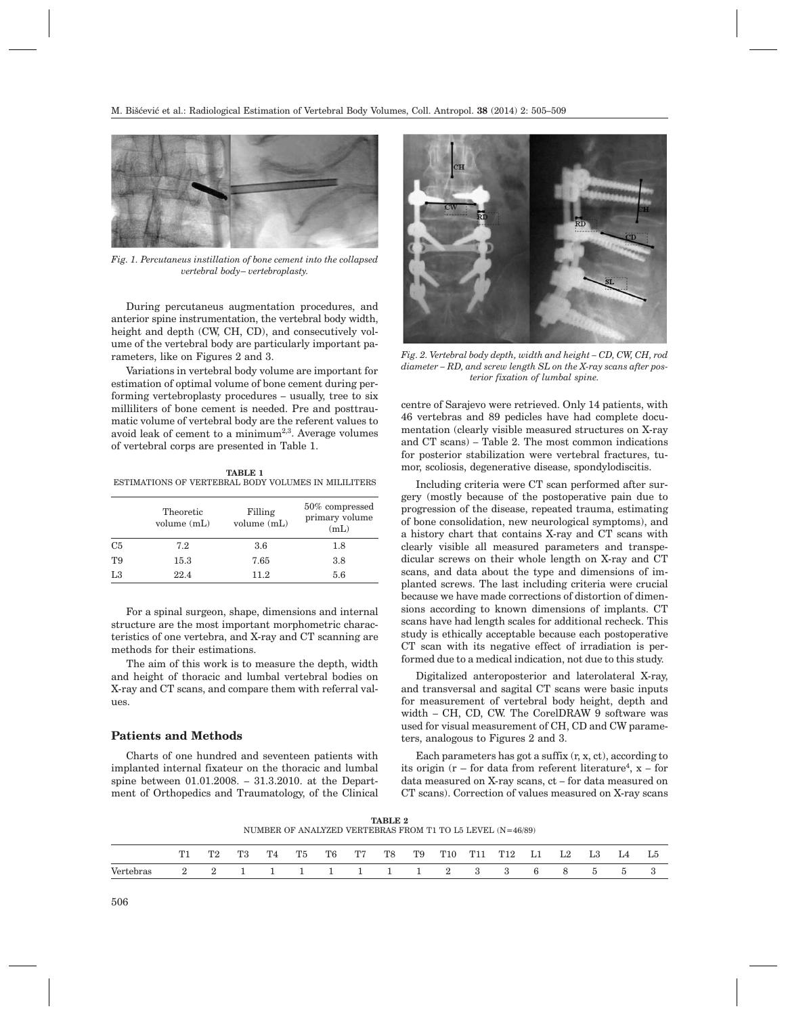

*Fig. 1. Percutaneus instillation of bone cement into the collapsed vertebral body– vertebroplasty.*

During percutaneus augmentation procedures, and anterior spine instrumentation, the vertebral body width, height and depth (CW, CH, CD), and consecutively volume of the vertebral body are particularly important parameters, like on Figures 2 and 3.

Variations in vertebral body volume are important for estimation of optimal volume of bone cement during performing vertebroplasty procedures – usually, tree to six milliliters of bone cement is needed. Pre and posttraumatic volume of vertebral body are the referent values to avoid leak of cement to a minimum<sup>2,3</sup>. Average volumes of vertebral corps are presented in Table 1.

**TABLE 1** ESTIMATIONS OF VERTEBRAL BODY VOLUMES IN MILILITERS

|    | Theoretic<br>volume $(mL)$ | Filling<br>volume (mL) | 50% compressed<br>primary volume<br>(mL) |  |  |  |  |
|----|----------------------------|------------------------|------------------------------------------|--|--|--|--|
| C5 | 7.2                        | 3.6                    | 1.8                                      |  |  |  |  |
| T9 | 15.3                       | 7.65                   | 3.8                                      |  |  |  |  |
| L3 | 22.4                       | 11.2                   | 5.6                                      |  |  |  |  |

For a spinal surgeon, shape, dimensions and internal structure are the most important morphometric characteristics of one vertebra, and X-ray and CT scanning are methods for their estimations.

The aim of this work is to measure the depth, width and height of thoracic and lumbal vertebral bodies on X-ray and CT scans, and compare them with referral values.

#### **Patients and Methods**

Charts of one hundred and seventeen patients with implanted internal fixateur on the thoracic and lumbal spine between 01.01.2008. – 31.3.2010. at the Department of Orthopedics and Traumatology, of the Clinical



*Fig. 2. Vertebral body depth, width and height – CD, CW, CH, rod diameter – RD, and screw length SL on the X-ray scans after posterior fixation of lumbal spine.*

centre of Sarajevo were retrieved. Only 14 patients, with 46 vertebras and 89 pedicles have had complete documentation (clearly visible measured structures on X-ray and CT scans) – Table 2. The most common indications for posterior stabilization were vertebral fractures, tumor, scoliosis, degenerative disease, spondylodiscitis.

Including criteria were CT scan performed after surgery (mostly because of the postoperative pain due to progression of the disease, repeated trauma, estimating of bone consolidation, new neurological symptoms), and a history chart that contains X-ray and CT scans with clearly visible all measured parameters and transpedicular screws on their whole length on X-ray and CT scans, and data about the type and dimensions of implanted screws. The last including criteria were crucial because we have made corrections of distortion of dimensions according to known dimensions of implants. CT scans have had length scales for additional recheck. This study is ethically acceptable because each postoperative CT scan with its negative effect of irradiation is performed due to a medical indication, not due to this study.

Digitalized anteroposterior and laterolateral X-ray, and transversal and sagital CT scans were basic inputs for measurement of vertebral body height, depth and width – CH, CD, CW. The CorelDRAW 9 software was used for visual measurement of CH, CD and CW parameters, analogous to Figures 2 and 3.

Each parameters has got a suffix  $(r, x, ct)$ , according to its origin (r – for data from referent literature4, x – for data measured on X-ray scans, ct – for data measured on CT scans). Correction of values measured on X-ray scans

**TABLE 2** NUMBER OF ANALYZED VERTEBRAS FROM T1 TO L5 LEVEL (N=46/89)

|           |  | T3 | T <sup>4</sup> | <b>T5</b> | ፐ6 | <b>TP7</b> | T <sub>8</sub> | T9 | T <sub>10</sub>       | T11 | T12 | Ll | L3. | L4 | GJ. |
|-----------|--|----|----------------|-----------|----|------------|----------------|----|-----------------------|-----|-----|----|-----|----|-----|
| Vertebras |  |    |                |           |    |            |                |    | 2 2 1 1 1 1 1 1 1 2 3 |     |     | к. |     |    |     |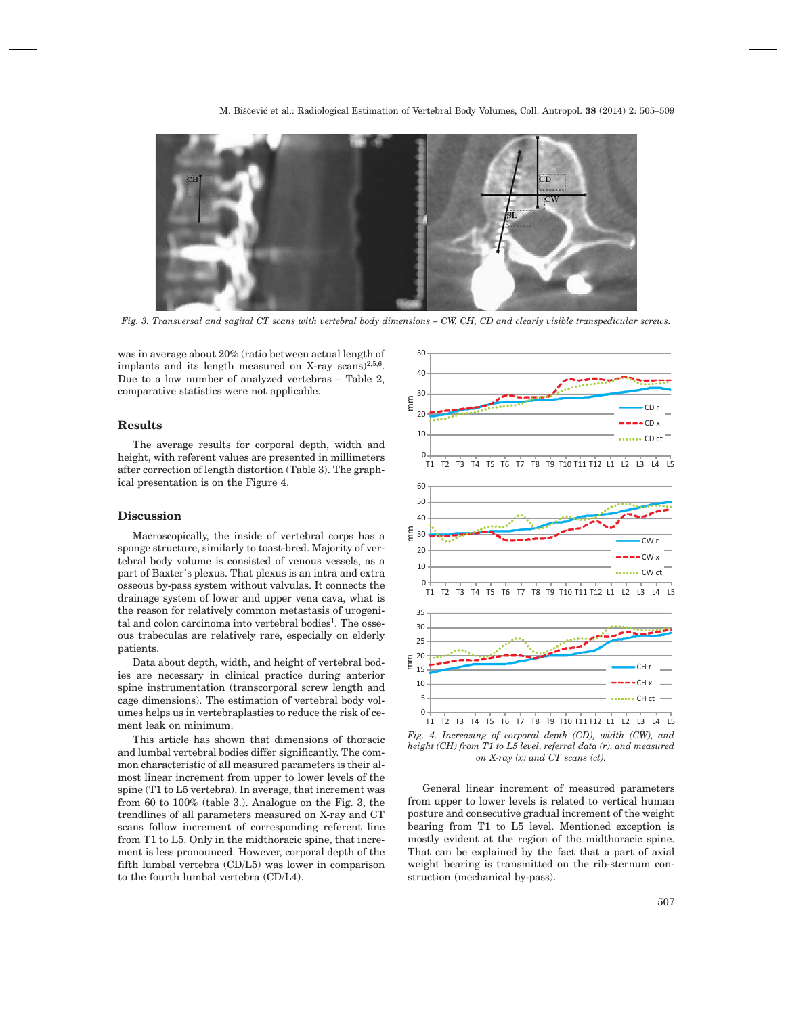

*Fig. 3. Transversal and sagital CT scans with vertebral body dimensions – CW, CH, CD and clearly visible transpedicular screws.*

was in average about 20% (ratio between actual length of implants and its length measured on X-ray scans) $^{2,5,6}$ . Due to a low number of analyzed vertebras – Table 2, comparative statistics were not applicable.

### **Results**

The average results for corporal depth, width and height, with referent values are presented in millimeters after correction of length distortion (Table 3). The graphical presentation is on the Figure 4.

#### **Discussion**

Macroscopically, the inside of vertebral corps has a sponge structure, similarly to toast-bred. Majority of vertebral body volume is consisted of venous vessels, as a part of Baxter's plexus. That plexus is an intra and extra osseous by-pass system without valvulas. It connects the drainage system of lower and upper vena cava, what is the reason for relatively common metastasis of urogenital and colon carcinoma into vertebral bodies<sup>1</sup>. The osseous trabeculas are relatively rare, especially on elderly patients.

Data about depth, width, and height of vertebral bodies are necessary in clinical practice during anterior spine instrumentation (transcorporal screw length and cage dimensions). The estimation of vertebral body volumes helps us in vertebraplasties to reduce the risk of cement leak on minimum.

This article has shown that dimensions of thoracic and lumbal vertebral bodies differ significantly. The common characteristic of all measured parameters is their almost linear increment from upper to lower levels of the spine (T1 to L5 vertebra). In average, that increment was from 60 to 100% (table 3.). Analogue on the Fig. 3, the trendlines of all parameters measured on X-ray and CT scans follow increment of corresponding referent line from T1 to L5. Only in the midthoracic spine, that increment is less pronounced. However, corporal depth of the fifth lumbal vertebra (CD/L5) was lower in comparison to the fourth lumbal vertebra (CD/L4).



*Fig. 4. Increasing of corporal depth (CD), width (CW), and height (CH) from T1 to L5 level, referral data (r), and measured on X-ray (x) and CT scans (ct).*

General linear increment of measured parameters from upper to lower levels is related to vertical human posture and consecutive gradual increment of the weight bearing from T1 to L5 level. Mentioned exception is mostly evident at the region of the midthoracic spine. That can be explained by the fact that a part of axial weight bearing is transmitted on the rib-sternum construction (mechanical by-pass).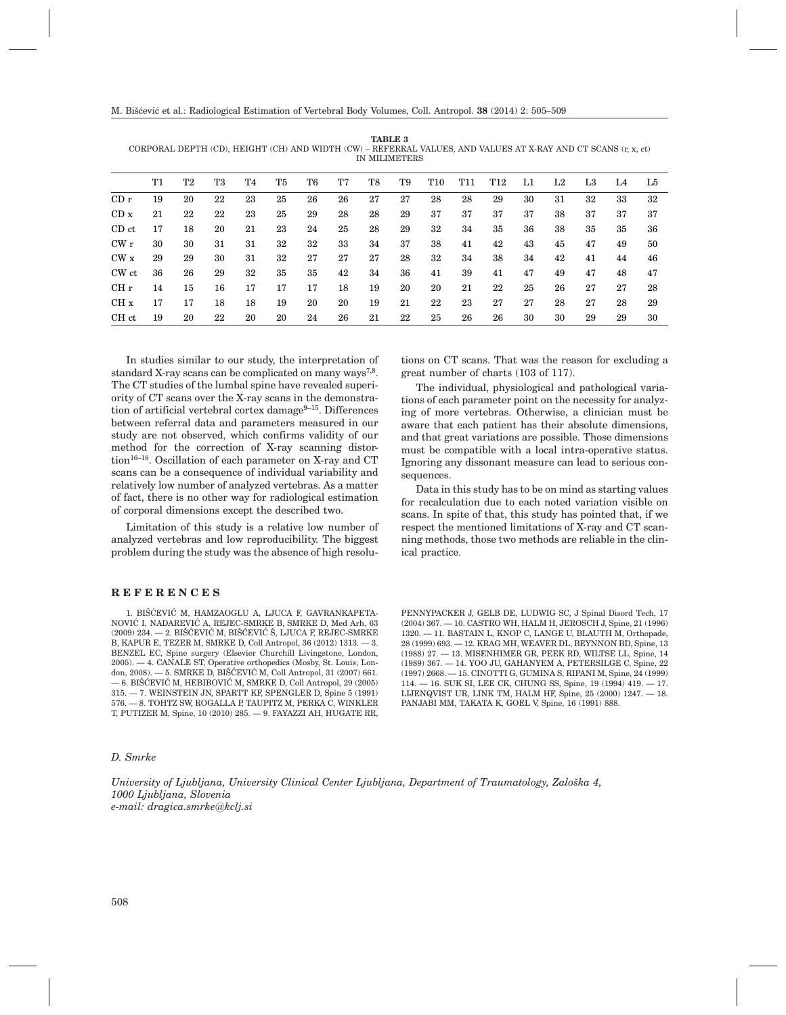|                 | CORPORAL DEPTH (CD), HEIGHT (CH) AND WIDTH (CW) – REFERRAL VALUES, AND VALUES AT X-RAY AND CT SCANS (r, x, ct)<br>IN MILIMETERS |    |    |    |    |    |    |    |    |            |            |            |    |    |    |    |    |
|-----------------|---------------------------------------------------------------------------------------------------------------------------------|----|----|----|----|----|----|----|----|------------|------------|------------|----|----|----|----|----|
|                 | T1                                                                                                                              | T2 | T3 | T4 | T5 | T6 | T7 | T8 | T9 | <b>T10</b> | <b>T11</b> | <b>T12</b> | L1 | L2 | L3 | L4 | L5 |
| CDr             | 19                                                                                                                              | 20 | 22 | 23 | 25 | 26 | 26 | 27 | 27 | 28         | 28         | 29         | 30 | 31 | 32 | 33 | 32 |
| CD x            | 21                                                                                                                              | 22 | 22 | 23 | 25 | 29 | 28 | 28 | 29 | 37         | 37         | 37         | 37 | 38 | 37 | 37 | 37 |
| CD ct           | 17                                                                                                                              | 18 | 20 | 21 | 23 | 24 | 25 | 28 | 29 | 32         | 34         | 35         | 36 | 38 | 35 | 35 | 36 |
| CWr             | 30                                                                                                                              | 30 | 31 | 31 | 32 | 32 | 33 | 34 | 37 | 38         | 41         | 42         | 43 | 45 | 47 | 49 | 50 |
| CW x            | 29                                                                                                                              | 29 | 30 | 31 | 32 | 27 | 27 | 27 | 28 | 32         | 34         | 38         | 34 | 42 | 41 | 44 | 46 |
| CW ct           | 36                                                                                                                              | 26 | 29 | 32 | 35 | 35 | 42 | 34 | 36 | 41         | 39         | 41         | 47 | 49 | 47 | 48 | 47 |
| CH r            | 14                                                                                                                              | 15 | 16 | 17 | 17 | 17 | 18 | 19 | 20 | 20         | 21         | 22         | 25 | 26 | 27 | 27 | 28 |
| CH <sub>x</sub> | 17                                                                                                                              | 17 | 18 | 18 | 19 | 20 | 20 | 19 | 21 | 22         | 23         | 27         | 27 | 28 | 27 | 28 | 29 |
| CH ct           | 19                                                                                                                              | 20 | 22 | 20 | 20 | 24 | 26 | 21 | 22 | 25         | 26         | 26         | 30 | 30 | 29 | 29 | 30 |

**TABLE 3** CORPORAL DEPTH (CD), HEIGHT (CH) AND WIDTH (CW) – REFERRAL VALUES, AND VALUES AT X-RAY AND CT SCANS (r, x, ct)

In studies similar to our study, the interpretation of standard X-ray scans can be complicated on many ways<sup>7,8</sup>. The CT studies of the lumbal spine have revealed superiority of CT scans over the X-ray scans in the demonstration of artificial vertebral cortex damage $9-15$ . Differences between referral data and parameters measured in our study are not observed, which confirms validity of our method for the correction of X-ray scanning distortion<sup>16–18</sup>. Oscillation of each parameter on X-ray and CT scans can be a consequence of individual variability and relatively low number of analyzed vertebras. As a matter of fact, there is no other way for radiological estimation of corporal dimensions except the described two.

Limitation of this study is a relative low number of analyzed vertebras and low reproducibility. The biggest problem during the study was the absence of high resolu-

#### **REFERENCES**

1. BIŠĆEVIĆ M, HAMZAOGLU A, LJUCA F, GAVRANKAPETA-NOVIĆ I, NADAREVIĆ A, REJEC-SMRKE B, SMRKE D, Med Arh, 63  $(2009)$  234.  $-$  2. BIŠĆEVIĆ M, BIŠĆEVIĆ Š, LJUCA F, REJEC-SMRKE B, KAPUR E, TEZER M, SMRKE D, Coll Antropol, 36 (2012) 1313. — 3. BENZEL EC, Spine surgery (Elsevier Churchill Livingstone, London, 2005). — 4. CANALE ST, Operative orthopedics (Mosby, St. Louis; London, 2008). — 5. SMRKE D, BIŠĆEVIĆ M, Coll Antropol, 31 (2007) 661. — 6. BIŠĆEVIĆ M, HEBIBOVIĆ M, SMRKE D, Coll Antropol, 29 (2005)  $315. - 7.$  WEINSTEIN JN, SPARTT KF, SPENGLER D, Spine  $5(1991)$ <br> $576 - 8.$  TOHTZ SW ROGALLA P TAUPITZ M. PERKA C. WINKLER  $-$  8. TOHTZ SW, ROGALLA P, TAUPITZ M, PERKA C, WINKLER T, PUTIZER M, Spine, 10 (2010) 285. — 9. FAYAZZI AH, HUGATE RR,

#### *D. Smrke*

*University of Ljubljana, University Clinical Center Ljubljana, Department of Traumatology, Zalo{ka 4, 1000 Ljubljana, Slovenia e-mail: dragica.smrke@kclj.si*

tions on CT scans. That was the reason for excluding a great number of charts (103 of 117).

The individual, physiological and pathological variations of each parameter point on the necessity for analyzing of more vertebras. Otherwise, a clinician must be aware that each patient has their absolute dimensions, and that great variations are possible. Those dimensions must be compatible with a local intra-operative status. Ignoring any dissonant measure can lead to serious consequences.

Data in this study has to be on mind as starting values for recalculation due to each noted variation visible on scans. In spite of that, this study has pointed that, if we respect the mentioned limitations of X-ray and CT scanning methods, those two methods are reliable in the clinical practice.

PENNYPACKER J, GELB DE, LUDWIG SC, J Spinal Disord Tech, 17 (2004) 367. — 10. CASTRO WH, HALM H, JEROSCH J, Spine, 21 (1996) 1320. — 11. BASTAIN L, KNOP C, LANGE U, BLAUTH M, Orthopade, 28 (1999) 693. — 12. KRAG MH, WEAVER DL, BEYNNON BD, Spine, 13 (1988) 27. — 13. MISENHIMER GR, PEEK RD, WILTSE LL, Spine, 14 (1989) 367. — 14. YOO JU, GAHANYEM A, PETERSILGE C, Spine, 22 (1997) 2668. — 15. CINOTTI G, GUMINA S, RIPANI M, Spine, 24 (1999) 114. — 16. SUK SI, LEE CK, CHUNG SS, Spine, 19 (1994) 419. — 17. LIJENQVIST UR, LINK TM, HALM HF, Spine, 25 (2000) 1247. — 18. PANJABI MM, TAKATA K, GOEL V, Spine, 16 (1991) 888.